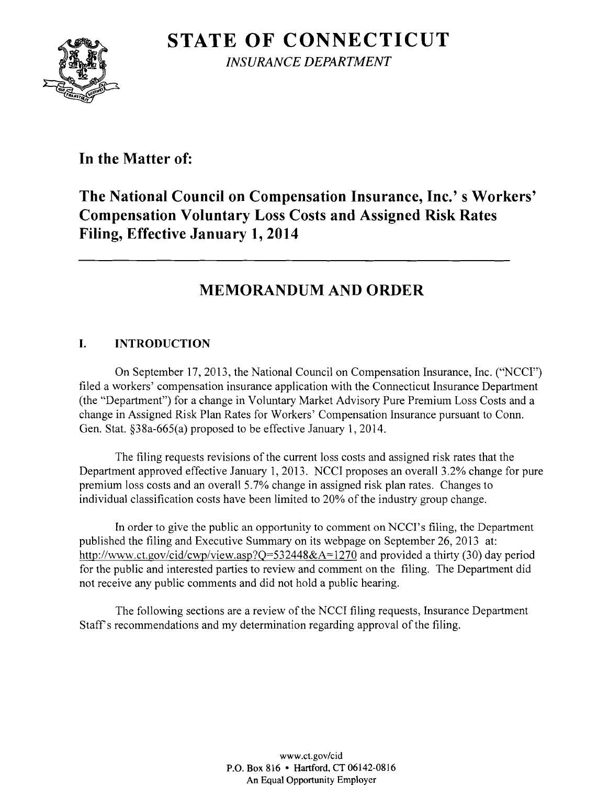# **STATE OF CONNECTICUT** *INSURANCE DEPARTMENT*



### **In the Matter of:**

# **The National Council on Compensation Insurance, Inc.' s Workers' Compensation Voluntary Loss Costs and Assigned Risk Rates Filing, Effective January 1, 2014**

# **MEMORANDUM AND ORDER**

### **I. INTRODUCTION**

On September 17, 2013, the National Council on Compensation Insurance, Inc. ("NCCI") tiled a workers' compensation insurance application with the Connecticut Insurance Department (the "Department") for a change in Voluntary Market Advisory Pure Premium Loss Costs and a change in Assigned Risk Plan Rates for Workers' Compensation Insurance pursuant to Conn. Gen. Stat. §38a-665(a) proposed to be effective January 1,2014.

The filing requests revisions of the current loss costs and assigned risk rates that the Department approved effective January 1, 2013. NCCI proposes an overall 3.2% change for pure premium loss costs and an overall 5.7% change in assigned risk plan rates. Changes to individual classification costs have been limited to 20% of the industry group change.

In order to give the public an opportunity to comment on NCCI's filing, the Department published the tiling and Executive Summary on its webpage on September 26, 2013 at: http://www.ct.gov/cid/cwp/view.asp?Q=532448&A=1270 and provided a thirty (30) day period for the public and interested parties to review and comment on the filing. The Department did not receive any public comments and did not hold a public hearing.

The following sections are a review of the NCCI filing requests, Insurance Department Staff s recommendations and my determination regarding approval of the filing.

> www.ct.gov/cid P.O. Box 816 • Hartford. CT 06142-0816 An Equal Opportunity Employer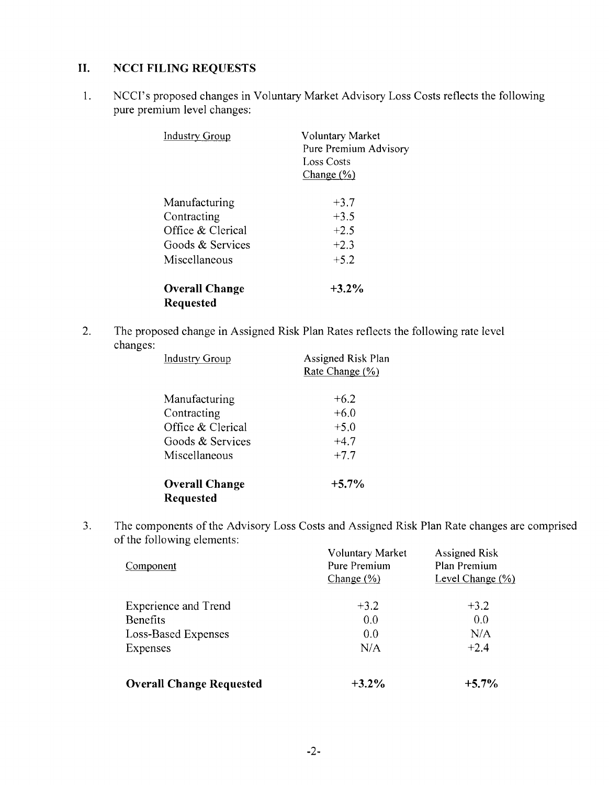#### **II. NCCI FILING REQUESTS**

1. NCCI's proposed changes in Voluntary Market Advisory Loss Costs reflects the following pure premium level changes:

| Industry Group                                                                         | <b>Voluntary Market</b><br>Pure Premium Advisory<br>Loss Costs<br>Change(%) |  |
|----------------------------------------------------------------------------------------|-----------------------------------------------------------------------------|--|
| Manufacturing<br>Contracting<br>Office & Clerical<br>Goods & Services<br>Miscellaneous | $+3.7$<br>$+3.5$<br>$+2.5$<br>$+2.3$<br>$+5.2$                              |  |
| <b>Overall Change</b><br>Requested                                                     | $+3.2\%$                                                                    |  |

2. The proposed change in Assigned Risk Plan Rates reflects the following rate level changes:

| <b>Industry Group</b> | Assigned Risk Plan<br>Rate Change (%) |
|-----------------------|---------------------------------------|
| Manufacturing         | $+6.2$                                |
| Contracting           | $+6.0$                                |
| Office & Clerical     | $+5.0$                                |
| Goods & Services      | $+4.7$                                |
| Miscellaneous         | $+7.7$                                |
| <b>Overall Change</b> | $+5.7%$                               |
| <b>Requested</b>      |                                       |

3. The components of the Advisory Loss Costs and Assigned Risk Plan Rate changes are comprised of the following elements:

| Component                       | Voluntary Market<br>Pure Premium<br>Change $(\frac{6}{6})$ | Assigned Risk<br>Plan Premium<br>Level Change $(\% )$ |
|---------------------------------|------------------------------------------------------------|-------------------------------------------------------|
| <b>Experience and Trend</b>     | $+3.2$                                                     | $+3.2$                                                |
| <b>Benefits</b>                 | 0.0                                                        | 0.0                                                   |
| Loss-Based Expenses             | 0.0                                                        | N/A                                                   |
| <b>Expenses</b>                 | N/A                                                        | $+2.4$                                                |
| <b>Overall Change Requested</b> | $+3.2\%$                                                   | $+5.7%$                                               |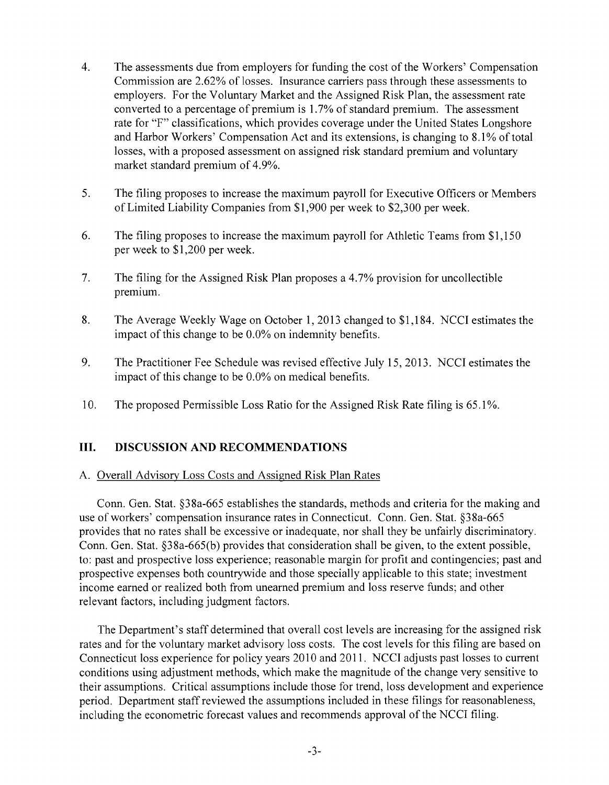- 4. The assessments due from employers for funding the cost of the Workers' Compensation Commission are 2.62% of losses. Insurance carriers pass through these assessments to employers. For the Voluntary Market and the Assigned Risk Plan, the assessment rate converted to a percentage of premium is 1.7% of standard premium. The assessment rate for "F" classifications, which provides coverage under the United States Longshore and Harbor Workers' Compensation Act and its extensions, is changing to 8.1% of total losses, with a proposed assessment on assigned risk standard premium and voluntary market standard premium of 4.9%.
- 5. The filing proposes to increase the maximum payroll for Executive Officers or Members of Limited Liability Companies from \$1,900 per week to \$2,300 per week.
- 6. The filing proposes to increase the maximum payroll for Athletic Teams from \$1,150 per week to \$1,200 per week.
- 7. The filing for the Assigned Risk Plan proposes a 4.7% provision for uncollectible premium.
- 8. The Average Weekly Wage on October 1, 2013 changed to \$1,184. NCCI estimates the impact of this change to be 0.0% on indemnity benefits.
- 9. The Practitioner Fee Schedule was revised effective July 15, 2013. NCCI estimates the impact of this change to be 0.0% on medical benefits.
- 10. The proposed Permissible Loss Ratio for the Assigned Risk Rate filing is 65.1%.

#### **III. DISCUSSION AND RECOMMENDATIONS**

#### A. Overall Advisory Loss Costs and Assigned Risk Plan Rates

Conn. Gen. Stat. §38a-665 establishes the standards, methods and criteria for the making and use of workers' compensation insurance rates in Connecticut. Conn. Gen. Stat. §38a-665 provides that no rates shall be excessive or inadequate, nor shall they be unfairly discriminatory. Conn. Gen. Stat. §38a-665(b) provides that consideration shall be given, to the extent possible, to: past and prospective loss experience; reasonable margin for profit and contingencies; past and prospective expenses both countrywide and those specially applicable to this state; investment income earned or realized both from unearned premium and loss reserve funds; and other relevant factors, including judgment factors.

The Department's staff determined that overall cost levels are increasing for the assigned risk rates and for the voluntary market advisory loss costs. The cost levels for this filing are based on Connecticut loss experience for policy years 2010 and 2011. NCCI adjusts past losses to current conditions using adjustment methods, which make the magnitude of the change very sensitive to their assumptions. Critical assumptions include those for trend, loss development and experience period. Department staff reviewed the assumptions included in these filings for reasonableness, including the econometric forecast values and recommends approval of the NCCI filing.